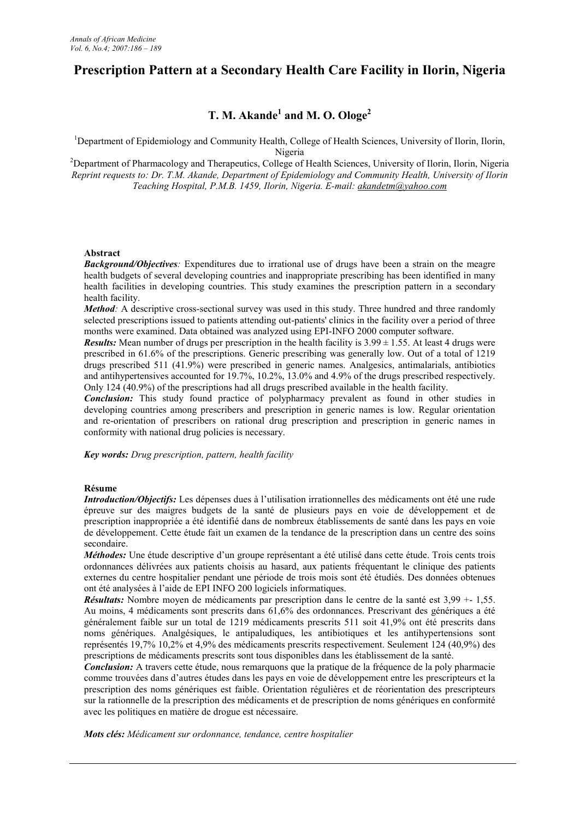# **Prescription Pattern at a Secondary Health Care Facility in Ilorin, Nigeria**

## **T. M. Akande<sup>1</sup> and M. O. Ologe<sup>2</sup>**

<sup>1</sup>Department of Epidemiology and Community Health, College of Health Sciences, University of Ilorin, Ilorin, Nigeria

<sup>2</sup>Department of Pharmacology and Therapeutics, College of Health Sciences, University of Ilorin, Ilorin, Nigeria *Reprint requests to: Dr. T.M. Akande, Department of Epidemiology and Community Health, University of Ilorin Teaching Hospital, P.M.B. 1459, Ilorin, Nigeria. E-mail: akandetm@yahoo.com*

#### **Abstract**

*Background/Objectives:* Expenditures due to irrational use of drugs have been a strain on the meagre health budgets of several developing countries and inappropriate prescribing has been identified in many health facilities in developing countries. This study examines the prescription pattern in a secondary health facility.

*Method:* A descriptive cross-sectional survey was used in this study. Three hundred and three randomly selected prescriptions issued to patients attending out-patients' clinics in the facility over a period of three months were examined. Data obtained was analyzed using EPI-INFO 2000 computer software.

*Results:* Mean number of drugs per prescription in the health facility is  $3.99 \pm 1.55$ . At least 4 drugs were prescribed in 61.6% of the prescriptions. Generic prescribing was generally low. Out of a total of 1219 drugs prescribed 511 (41.9%) were prescribed in generic names. Analgesics, antimalarials, antibiotics and antihypertensives accounted for 19.7%, 10.2%, 13.0% and 4.9% of the drugs prescribed respectively. Only 124 (40.9%) of the prescriptions had all drugs prescribed available in the health facility.

*Conclusion:* This study found practice of polypharmacy prevalent as found in other studies in developing countries among prescribers and prescription in generic names is low. Regular orientation and re-orientation of prescribers on rational drug prescription and prescription in generic names in conformity with national drug policies is necessary.

*Key words: Drug prescription, pattern, health facility*

## **Résume**

*Introduction/Objectifs:* Les dépenses dues à l'utilisation irrationnelles des médicaments ont été une rude épreuve sur des maigres budgets de la santé de plusieurs pays en voie de développement et de prescription inappropriée a été identifié dans de nombreux établissements de santé dans les pays en voie de développement. Cette étude fait un examen de la tendance de la prescription dans un centre des soins secondaire.

*Méthodes:* Une étude descriptive d'un groupe représentant a été utilisé dans cette étude. Trois cents trois ordonnances délivrées aux patients choisis au hasard, aux patients fréquentant le clinique des patients externes du centre hospitalier pendant une période de trois mois sont été étudiés. Des données obtenues ont été analysées à l'aide de EPI INFO 200 logiciels informatiques.

*Résultats:* Nombre moyen de médicaments par prescription dans le centre de la santé est 3,99 +- 1,55. Au moins, 4 médicaments sont prescrits dans 61,6% des ordonnances. Prescrivant des génériques a été généralement faible sur un total de 1219 médicaments prescrits 511 soit 41,9% ont été prescrits dans noms génériques. Analgésiques, le antipaludiques, les antibiotiques et les antihypertensions sont représentés 19,7% 10,2% et 4,9% des médicaments prescrits respectivement. Seulement 124 (40,9%) des prescriptions de médicaments prescrits sont tous disponibles dans les établissement de la santé.

*Conclusion:* A travers cette étude, nous remarquons que la pratique de la fréquence de la poly pharmacie comme trouvées dans d'autres études dans les pays en voie de développement entre les prescripteurs et la prescription des noms génériques est faible. Orientation régulières et de réorientation des prescripteurs sur la rationnelle de la prescription des médicaments et de prescription de noms génériques en conformité avec les politiques en matière de drogue est nécessaire.

*Mots clés: Médicament sur ordonnance, tendance, centre hospitalier*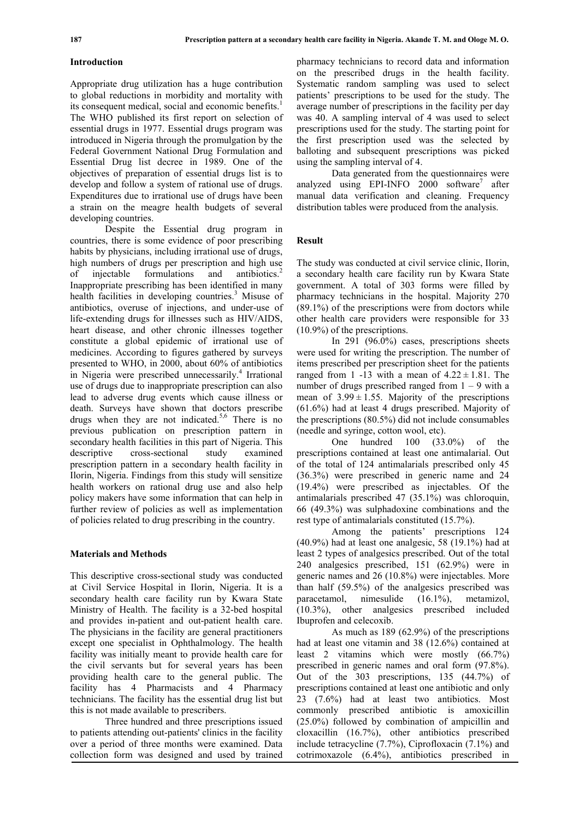## **Introduction**

Appropriate drug utilization has a huge contribution to global reductions in morbidity and mortality with its consequent medical, social and economic benefits.<sup>1</sup> The WHO published its first report on selection of essential drugs in 1977. Essential drugs program was introduced in Nigeria through the promulgation by the Federal Government National Drug Formulation and Essential Drug list decree in 1989. One of the objectives of preparation of essential drugs list is to develop and follow a system of rational use of drugs. Expenditures due to irrational use of drugs have been a strain on the meagre health budgets of several developing countries.

Despite the Essential drug program in countries, there is some evidence of poor prescribing habits by physicians, including irrational use of drugs, high numbers of drugs per prescription and high use of injectable formulations and antibiotics.<sup>2</sup> Inappropriate prescribing has been identified in many health facilities in developing countries. $3$  Misuse of antibiotics, overuse of injections, and under-use of life-extending drugs for illnesses such as HIV/AIDS, heart disease, and other chronic illnesses together constitute a global epidemic of irrational use of medicines. According to figures gathered by surveys presented to WHO, in 2000, about 60% of antibiotics in Nigeria were prescribed unnecessarily.<sup>4</sup> Irrational use of drugs due to inappropriate prescription can also lead to adverse drug events which cause illness or death. Surveys have shown that doctors prescribe drugs when they are not indicated.<sup>5,6</sup> There is no previous publication on prescription pattern in secondary health facilities in this part of Nigeria. This descriptive cross-sectional study examined prescription pattern in a secondary health facility in Ilorin, Nigeria. Findings from this study will sensitize health workers on rational drug use and also help policy makers have some information that can help in further review of policies as well as implementation of policies related to drug prescribing in the country.

#### **Materials and Methods**

This descriptive cross-sectional study was conducted at Civil Service Hospital in Ilorin, Nigeria. It is a secondary health care facility run by Kwara State Ministry of Health. The facility is a 32-bed hospital and provides in-patient and out-patient health care. The physicians in the facility are general practitioners except one specialist in Ophthalmology. The health facility was initially meant to provide health care for the civil servants but for several years has been providing health care to the general public. The facility has 4 Pharmacists and 4 Pharmacy technicians. The facility has the essential drug list but this is not made available to prescribers.

Three hundred and three prescriptions issued to patients attending out-patients' clinics in the facility over a period of three months were examined. Data collection form was designed and used by trained pharmacy technicians to record data and information on the prescribed drugs in the health facility. Systematic random sampling was used to select patients' prescriptions to be used for the study. The average number of prescriptions in the facility per day was 40. A sampling interval of 4 was used to select prescriptions used for the study. The starting point for the first prescription used was the selected by balloting and subsequent prescriptions was picked using the sampling interval of 4.

Data generated from the questionnaires were analyzed using EPI-INFO 2000 software<sup>7</sup> after manual data verification and cleaning. Frequency distribution tables were produced from the analysis.

### **Result**

The study was conducted at civil service clinic, Ilorin, a secondary health care facility run by Kwara State government. A total of 303 forms were filled by pharmacy technicians in the hospital. Majority 270 (89.1%) of the prescriptions were from doctors while other health care providers were responsible for 33 (10.9%) of the prescriptions.

In 291 (96.0%) cases, prescriptions sheets were used for writing the prescription. The number of items prescribed per prescription sheet for the patients ranged from 1 -13 with a mean of  $4.22 \pm 1.81$ . The number of drugs prescribed ranged from  $1 - 9$  with a mean of  $3.99 \pm 1.55$ . Majority of the prescriptions (61.6%) had at least 4 drugs prescribed. Majority of the prescriptions (80.5%) did not include consumables (needle and syringe, cotton wool, etc).

One hundred 100 (33.0%) of the prescriptions contained at least one antimalarial. Out of the total of 124 antimalarials prescribed only 45 (36.3%) were prescribed in generic name and 24 (19.4%) were prescribed as injectables. Of the antimalarials prescribed 47 (35.1%) was chloroquin, 66 (49.3%) was sulphadoxine combinations and the rest type of antimalarials constituted (15.7%).

Among the patients' prescriptions 124 (40.9%) had at least one analgesic, 58 (19.1%) had at least 2 types of analgesics prescribed. Out of the total 240 analgesics prescribed, 151 (62.9%) were in generic names and 26 (10.8%) were injectables. More than half (59.5%) of the analgesics prescribed was paracetamol, nimesulide (16.1%), metamizol, (10.3%), other analgesics prescribed included Ibuprofen and celecoxib.

As much as 189 (62.9%) of the prescriptions had at least one vitamin and 38 (12.6%) contained at least 2 vitamins which were mostly (66.7%) prescribed in generic names and oral form (97.8%). Out of the 303 prescriptions, 135 (44.7%) of prescriptions contained at least one antibiotic and only 23 (7.6%) had at least two antibiotics. Most commonly prescribed antibiotic is amoxicillin (25.0%) followed by combination of ampicillin and cloxacillin (16.7%), other antibiotics prescribed include tetracycline (7.7%), Ciprofloxacin (7.1%) and cotrimoxazole (6.4%), antibiotics prescribed in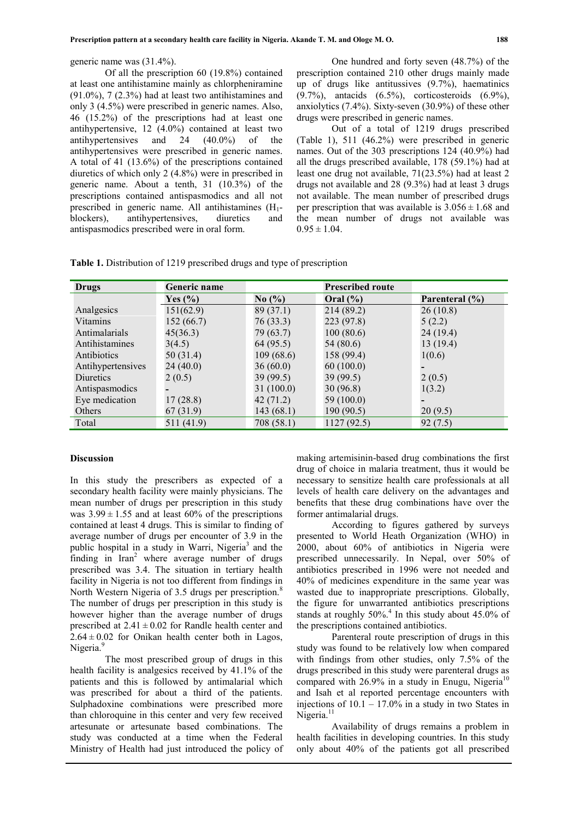generic name was (31.4%).

Of all the prescription 60 (19.8%) contained at least one antihistamine mainly as chlorpheniramine  $(91.0\%)$ , 7  $(2.3\%)$  had at least two antihistamines and only 3 (4.5%) were prescribed in generic names. Also, 46 (15.2%) of the prescriptions had at least one antihypertensive, 12 (4.0%) contained at least two antihypertensives and 24 (40.0%) of the antihypertensives were prescribed in generic names. A total of 41 (13.6%) of the prescriptions contained diuretics of which only 2 (4.8%) were in prescribed in generic name. About a tenth, 31 (10.3%) of the prescriptions contained antispasmodics and all not prescribed in generic name. All antihistamines  $(H_1$ blockers), antihypertensives, diuretics and antispasmodics prescribed were in oral form.

One hundred and forty seven (48.7%) of the prescription contained 210 other drugs mainly made up of drugs like antitussives (9.7%), haematinics (9.7%), antacids (6.5%), corticosteroids (6.9%), anxiolytics (7.4%). Sixty-seven (30.9%) of these other drugs were prescribed in generic names.

Out of a total of 1219 drugs prescribed (Table 1), 511 (46.2%) were prescribed in generic names. Out of the 303 prescriptions 124 (40.9%) had all the drugs prescribed available, 178 (59.1%) had at least one drug not available, 71(23.5%) had at least 2 drugs not available and 28 (9.3%) had at least 3 drugs not available. The mean number of prescribed drugs per prescription that was available is  $3.056 \pm 1.68$  and the mean number of drugs not available was  $0.95 \pm 1.04$ .

| Table 1. Distribution of 1219 prescribed drugs and type of prescription |  |  |  |  |  |
|-------------------------------------------------------------------------|--|--|--|--|--|
|-------------------------------------------------------------------------|--|--|--|--|--|

| Drugs             | Generic name | <b>Prescribed route</b>       |              |                |  |  |
|-------------------|--------------|-------------------------------|--------------|----------------|--|--|
|                   | Yes $(\% )$  | No $\left(\frac{0}{0}\right)$ | Oral $(\% )$ | Parenteral (%) |  |  |
| Analgesics        | 151(62.9)    | 89(37.1)                      | 214 (89.2)   | 26(10.8)       |  |  |
| <b>Vitamins</b>   | 152(66.7)    | 76(33.3)                      | 223 (97.8)   | 5(2.2)         |  |  |
| Antimalarials     | 45(36.3)     | 79(63.7)                      | 100(80.6)    | 24(19.4)       |  |  |
| Antihistamines    | 3(4.5)       | 64 (95.5)                     | 54 (80.6)    | 13(19.4)       |  |  |
| Antibiotics       | 50 (31.4)    | 109(68.6)                     | 158 (99.4)   | 1(0.6)         |  |  |
| Antihypertensives | 24(40.0)     | 36(60.0)                      | 60(100.0)    |                |  |  |
| <b>Diuretics</b>  | 2(0.5)       | 39(99.5)                      | 39(99.5)     | 2(0.5)         |  |  |
| Antispasmodics    |              | 31(100.0)                     | 30(96.8)     | 1(3.2)         |  |  |
| Eye medication    | 17(28.8)     | 42(71.2)                      | 59 (100.0)   |                |  |  |
| Others            | 67(31.9)     | 143(68.1)                     | 190(90.5)    | 20(9.5)        |  |  |
| Total             | 511(41.9)    | 708 (58.1)                    | 1127(92.5)   | 92(7.5)        |  |  |

#### **Discussion**

In this study the prescribers as expected of a secondary health facility were mainly physicians. The mean number of drugs per prescription in this study was  $3.99 \pm 1.55$  and at least 60% of the prescriptions contained at least 4 drugs. This is similar to finding of average number of drugs per encounter of 3.9 in the public hospital in a study in Warri, Nigeria<sup>3</sup> and the finding in  $\text{Iran}^2$  where average number of drugs prescribed was 3.4. The situation in tertiary health facility in Nigeria is not too different from findings in North Western Nigeria of 3.5 drugs per prescription.<sup>8</sup> The number of drugs per prescription in this study is however higher than the average number of drugs prescribed at  $2.41 \pm 0.02$  for Randle health center and  $2.64 \pm 0.02$  for Onikan health center both in Lagos, Nigeria.<sup>9</sup>

The most prescribed group of drugs in this health facility is analgesics received by 41.1% of the patients and this is followed by antimalarial which was prescribed for about a third of the patients. Sulphadoxine combinations were prescribed more than chloroquine in this center and very few received artesunate or artesunate based combinations. The study was conducted at a time when the Federal Ministry of Health had just introduced the policy of making artemisinin-based drug combinations the first drug of choice in malaria treatment, thus it would be necessary to sensitize health care professionals at all levels of health care delivery on the advantages and benefits that these drug combinations have over the former antimalarial drugs.

According to figures gathered by surveys presented to World Heath Organization (WHO) in 2000, about 60% of antibiotics in Nigeria were prescribed unnecessarily. In Nepal, over 50% of antibiotics prescribed in 1996 were not needed and 40% of medicines expenditure in the same year was wasted due to inappropriate prescriptions. Globally, the figure for unwarranted antibiotics prescriptions stands at roughly  $50\%$ <sup>4</sup>. In this study about 45.0% of the prescriptions contained antibiotics.

Parenteral route prescription of drugs in this study was found to be relatively low when compared with findings from other studies, only 7.5% of the drugs prescribed in this study were parenteral drugs as compared with  $26.9\%$  in a study in Enugu, Nigeria<sup>10</sup> and Isah et al reported percentage encounters with injections of  $10.1 - 17.0\%$  in a study in two States in Nigeria.<sup>11</sup>

Availability of drugs remains a problem in health facilities in developing countries. In this study only about 40% of the patients got all prescribed